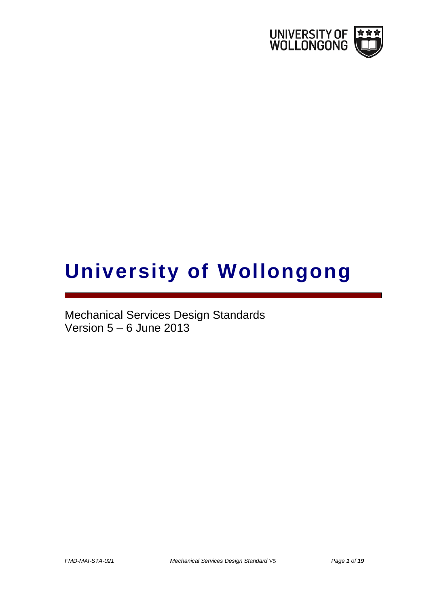

# **University of Wollongong**

Mechanical Services Design Standards Version 5 – 6 June 2013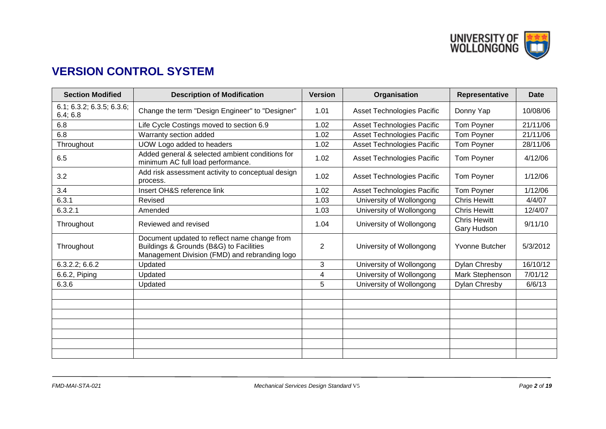

# **VERSION CONTROL SYSTEM**

| <b>Section Modified</b>               | <b>Description of Modification</b>                                                                                                       | <b>Version</b> | Organisation                      | Representative                     | Date     |
|---------------------------------------|------------------------------------------------------------------------------------------------------------------------------------------|----------------|-----------------------------------|------------------------------------|----------|
| 6.1; 6.3.2; 6.3.5; 6.3.6;<br>6.4; 6.8 | Change the term "Design Engineer" to "Designer"                                                                                          | 1.01           | <b>Asset Technologies Pacific</b> | Donny Yap                          | 10/08/06 |
| 6.8                                   | Life Cycle Costings moved to section 6.9                                                                                                 | 1.02           | <b>Asset Technologies Pacific</b> | Tom Poyner                         | 21/11/06 |
| 6.8                                   | Warranty section added                                                                                                                   | 1.02           | Asset Technologies Pacific        | Tom Poyner                         | 21/11/06 |
| Throughout                            | UOW Logo added to headers                                                                                                                | 1.02           | Asset Technologies Pacific        | Tom Poyner                         | 28/11/06 |
| 6.5                                   | Added general & selected ambient conditions for<br>minimum AC full load performance.                                                     | 1.02           | <b>Asset Technologies Pacific</b> | Tom Poyner                         | 4/12/06  |
| 3.2                                   | Add risk assessment activity to conceptual design<br>process.                                                                            | 1.02           | <b>Asset Technologies Pacific</b> | Tom Poyner                         | 1/12/06  |
| 3.4                                   | Insert OH&S reference link                                                                                                               | 1.02           | Asset Technologies Pacific        | Tom Poyner                         | 1/12/06  |
| 6.3.1                                 | Revised                                                                                                                                  | 1.03           | University of Wollongong          | <b>Chris Hewitt</b>                | 4/4/07   |
| 6.3.2.1                               | Amended                                                                                                                                  | 1.03           | University of Wollongong          | <b>Chris Hewitt</b>                | 12/4/07  |
| Throughout                            | Reviewed and revised                                                                                                                     | 1.04           | University of Wollongong          | <b>Chris Hewitt</b><br>Gary Hudson | 9/11/10  |
| Throughout                            | Document updated to reflect name change from<br>Buildings & Grounds (B&G) to Facilities<br>Management Division (FMD) and rebranding logo | 2              | University of Wollongong          | Yvonne Butcher                     | 5/3/2012 |
| 6.3.2.2; 6.6.2                        | Updated                                                                                                                                  | 3              | University of Wollongong          | Dylan Chresby                      | 16/10/12 |
| 6.6.2, Piping                         | Updated                                                                                                                                  | 4              | University of Wollongong          | Mark Stephenson                    | 7/01/12  |
| 6.3.6                                 | Updated                                                                                                                                  | 5              | University of Wollongong          | Dylan Chresby                      | 6/6/13   |
|                                       |                                                                                                                                          |                |                                   |                                    |          |
|                                       |                                                                                                                                          |                |                                   |                                    |          |
|                                       |                                                                                                                                          |                |                                   |                                    |          |
|                                       |                                                                                                                                          |                |                                   |                                    |          |
|                                       |                                                                                                                                          |                |                                   |                                    |          |
|                                       |                                                                                                                                          |                |                                   |                                    |          |
|                                       |                                                                                                                                          |                |                                   |                                    |          |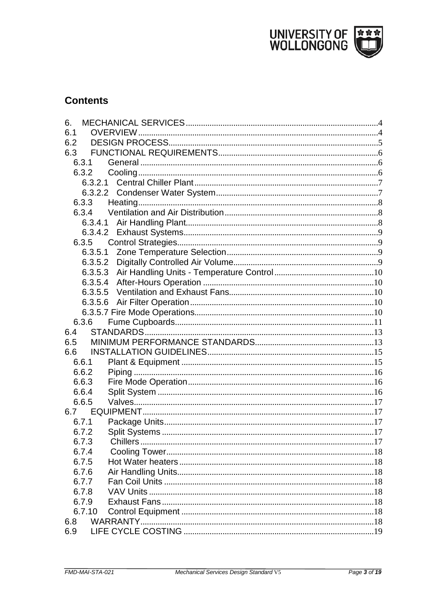

# **Contents**

| 6.      |  |
|---------|--|
| 6.1     |  |
| 6.2     |  |
| 6.3     |  |
| 6.3.1   |  |
| 6.3.2   |  |
| 6.3.2.1 |  |
|         |  |
| 6.3.3   |  |
|         |  |
|         |  |
|         |  |
| 6.3.5   |  |
| 6.3.5.1 |  |
|         |  |
|         |  |
| 6.3.5.4 |  |
| 6.3.5.5 |  |
|         |  |
|         |  |
| 6.3.6   |  |
| 6.4     |  |
| 6.5     |  |
| 6.6     |  |
| 6.6.1   |  |
| 6.6.2   |  |
| 6.6.3   |  |
| 6.6.4   |  |
| 6.6.5   |  |
|         |  |
| 6.7.1   |  |
| 6.7.2   |  |
| 6.7.3   |  |
| 6.7.4   |  |
| 6.7.5   |  |
| 6.7.6   |  |
| 6.7.7   |  |
| 6.7.8   |  |
| 6.7.9   |  |
| 6.7.10  |  |
| 6.8     |  |
| 6.9     |  |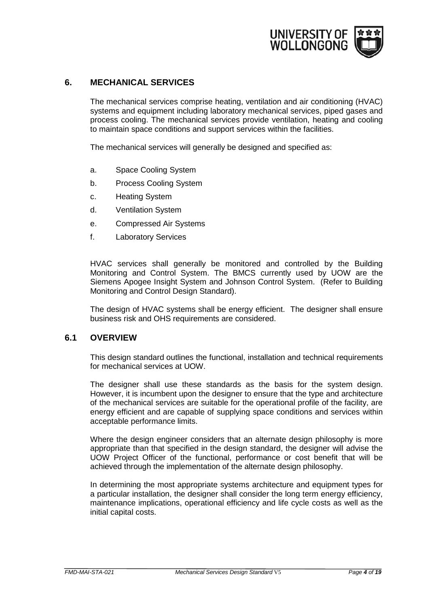

#### <span id="page-3-0"></span>**6. MECHANICAL SERVICES**

The mechanical services comprise heating, ventilation and air conditioning (HVAC) systems and equipment including laboratory mechanical services, piped gases and process cooling. The mechanical services provide ventilation, heating and cooling to maintain space conditions and support services within the facilities.

The mechanical services will generally be designed and specified as:

- a. Space Cooling System
- b. Process Cooling System
- c. Heating System
- d. Ventilation System
- e. Compressed Air Systems
- f. Laboratory Services

HVAC services shall generally be monitored and controlled by the Building Monitoring and Control System. The BMCS currently used by UOW are the Siemens Apogee Insight System and Johnson Control System. (Refer to Building Monitoring and Control Design Standard).

The design of HVAC systems shall be energy efficient. The designer shall ensure business risk and OHS requirements are considered.

#### <span id="page-3-1"></span>**6.1 OVERVIEW**

This design standard outlines the functional, installation and technical requirements for mechanical services at UOW.

The designer shall use these standards as the basis for the system design. However, it is incumbent upon the designer to ensure that the type and architecture of the mechanical services are suitable for the operational profile of the facility, are energy efficient and are capable of supplying space conditions and services within acceptable performance limits.

Where the design engineer considers that an alternate design philosophy is more appropriate than that specified in the design standard, the designer will advise the UOW Project Officer of the functional, performance or cost benefit that will be achieved through the implementation of the alternate design philosophy.

In determining the most appropriate systems architecture and equipment types for a particular installation, the designer shall consider the long term energy efficiency, maintenance implications, operational efficiency and life cycle costs as well as the initial capital costs.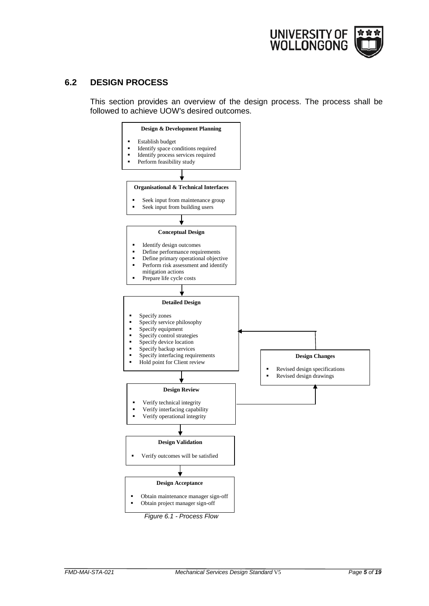

## <span id="page-4-0"></span>**6.2 DESIGN PROCESS**

This section provides an overview of the design process. The process shall be followed to achieve UOW's desired outcomes.

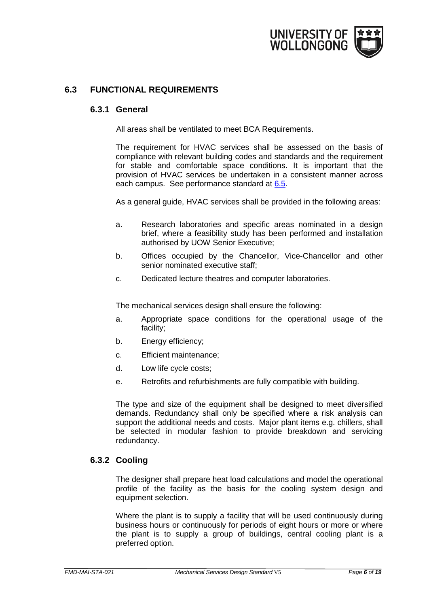

# <span id="page-5-1"></span><span id="page-5-0"></span>**6.3 FUNCTIONAL REQUIREMENTS**

#### **6.3.1 General**

All areas shall be ventilated to meet BCA Requirements.

The requirement for HVAC services shall be assessed on the basis of compliance with relevant building codes and standards and the requirement for stable and comfortable space conditions. It is important that the provision of HVAC services be undertaken in a consistent manner across each campus. See performance standard at [6.5.](#page-12-1)

As a general guide, HVAC services shall be provided in the following areas:

- a. Research laboratories and specific areas nominated in a design brief, where a feasibility study has been performed and installation authorised by UOW Senior Executive;
- b. Offices occupied by the Chancellor, Vice-Chancellor and other senior nominated executive staff;
- c. Dedicated lecture theatres and computer laboratories.

The mechanical services design shall ensure the following:

- a. Appropriate space conditions for the operational usage of the facility;
- b. Energy efficiency;
- c. Efficient maintenance;
- d. Low life cycle costs;
- e. Retrofits and refurbishments are fully compatible with building.

The type and size of the equipment shall be designed to meet diversified demands. Redundancy shall only be specified where a risk analysis can support the additional needs and costs. Major plant items e.g. chillers, shall be selected in modular fashion to provide breakdown and servicing redundancy.

#### <span id="page-5-2"></span>**6.3.2 Cooling**

The designer shall prepare heat load calculations and model the operational profile of the facility as the basis for the cooling system design and equipment selection.

Where the plant is to supply a facility that will be used continuously during business hours or continuously for periods of eight hours or more or where the plant is to supply a group of buildings, central cooling plant is a preferred option.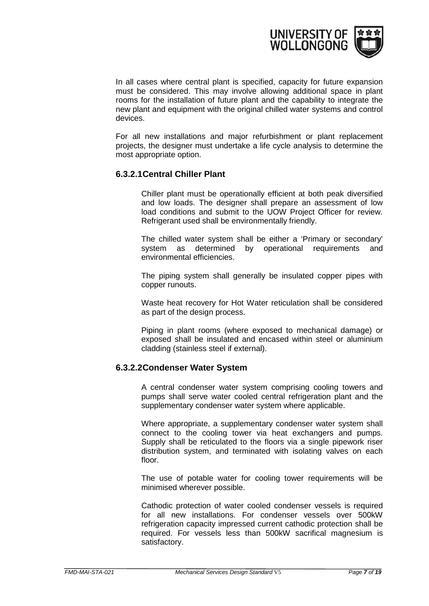

In all cases where central plant is specified, capacity for future expansion must be considered. This may involve allowing additional space in plant rooms for the installation of future plant and the capability to integrate the new plant and equipment with the original chilled water systems and control devices.

For all new installations and major refurbishment or plant replacement projects, the designer must undertake a life cycle analysis to determine the most appropriate option.

#### <span id="page-6-0"></span>**6.3.2.1Central Chiller Plant**

Chiller plant must be operationally efficient at both peak diversified and low loads. The designer shall prepare an assessment of low load conditions and submit to the UOW Project Officer for review. Refrigerant used shall be environmentally friendly.

The chilled water system shall be either a 'Primary or secondary' system as determined by operational requirements and environmental efficiencies.

The piping system shall generally be insulated copper pipes with copper runouts.

Waste heat recovery for Hot Water reticulation shall be considered as part of the design process.

Piping in plant rooms (where exposed to mechanical damage) or exposed shall be insulated and encased within steel or aluminium cladding (stainless steel if external).

# <span id="page-6-1"></span>**6.3.2.2Condenser Water System**

A central condenser water system comprising cooling towers and pumps shall serve water cooled central refrigeration plant and the supplementary condenser water system where applicable.

Where appropriate, a supplementary condenser water system shall connect to the cooling tower via heat exchangers and pumps. Supply shall be reticulated to the floors via a single pipework riser distribution system, and terminated with isolating valves on each floor.

The use of potable water for cooling tower requirements will be minimised wherever possible.

Cathodic protection of water cooled condenser vessels is required for all new installations. For condenser vessels over 500kW refrigeration capacity impressed current cathodic protection shall be required. For vessels less than 500kW sacrifical magnesium is satisfactory.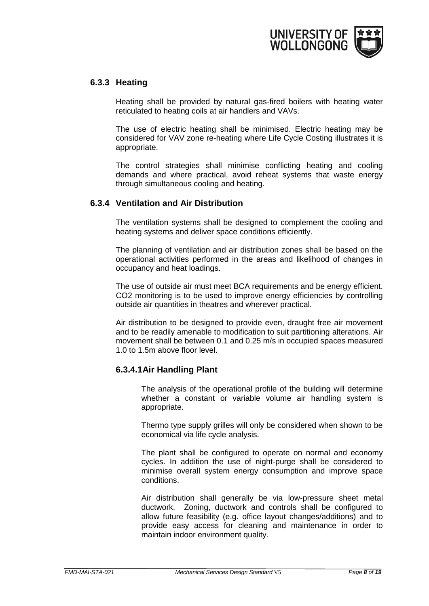

#### <span id="page-7-0"></span>**6.3.3 Heating**

Heating shall be provided by natural gas-fired boilers with heating water reticulated to heating coils at air handlers and VAVs.

The use of electric heating shall be minimised. Electric heating may be considered for VAV zone re-heating where Life Cycle Costing illustrates it is appropriate.

The control strategies shall minimise conflicting heating and cooling demands and where practical, avoid reheat systems that waste energy through simultaneous cooling and heating.

# <span id="page-7-1"></span>**6.3.4 Ventilation and Air Distribution**

The ventilation systems shall be designed to complement the cooling and heating systems and deliver space conditions efficiently.

The planning of ventilation and air distribution zones shall be based on the operational activities performed in the areas and likelihood of changes in occupancy and heat loadings.

The use of outside air must meet BCA requirements and be energy efficient. CO2 monitoring is to be used to improve energy efficiencies by controlling outside air quantities in theatres and wherever practical.

Air distribution to be designed to provide even, draught free air movement and to be readily amenable to modification to suit partitioning alterations. Air movement shall be between 0.1 and 0.25 m/s in occupied spaces measured 1.0 to 1.5m above floor level.

# <span id="page-7-2"></span>**6.3.4.1Air Handling Plant**

The analysis of the operational profile of the building will determine whether a constant or variable volume air handling system is appropriate.

Thermo type supply grilles will only be considered when shown to be economical via life cycle analysis.

The plant shall be configured to operate on normal and economy cycles. In addition the use of night-purge shall be considered to minimise overall system energy consumption and improve space conditions.

Air distribution shall generally be via low-pressure sheet metal ductwork. Zoning, ductwork and controls shall be configured to allow future feasibility (e.g. office layout changes/additions) and to provide easy access for cleaning and maintenance in order to maintain indoor environment quality.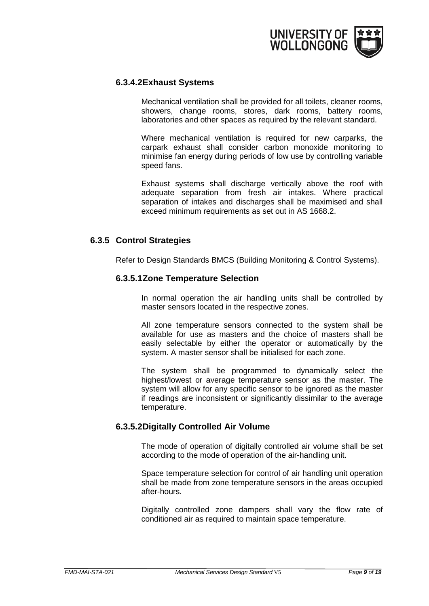

#### <span id="page-8-0"></span>**6.3.4.2Exhaust Systems**

Mechanical ventilation shall be provided for all toilets, cleaner rooms, showers, change rooms, stores, dark rooms, battery rooms, laboratories and other spaces as required by the relevant standard.

Where mechanical ventilation is required for new carparks, the carpark exhaust shall consider carbon monoxide monitoring to minimise fan energy during periods of low use by controlling variable speed fans.

Exhaust systems shall discharge vertically above the roof with adequate separation from fresh air intakes. Where practical separation of intakes and discharges shall be maximised and shall exceed minimum requirements as set out in AS 1668.2.

#### <span id="page-8-2"></span><span id="page-8-1"></span>**6.3.5 Control Strategies**

Refer to Design Standards BMCS (Building Monitoring & Control Systems).

#### **6.3.5.1Zone Temperature Selection**

In normal operation the air handling units shall be controlled by master sensors located in the respective zones.

All zone temperature sensors connected to the system shall be available for use as masters and the choice of masters shall be easily selectable by either the operator or automatically by the system. A master sensor shall be initialised for each zone.

The system shall be programmed to dynamically select the highest/lowest or average temperature sensor as the master. The system will allow for any specific sensor to be ignored as the master if readings are inconsistent or significantly dissimilar to the average temperature.

#### <span id="page-8-3"></span>**6.3.5.2Digitally Controlled Air Volume**

The mode of operation of digitally controlled air volume shall be set according to the mode of operation of the air-handling unit.

Space temperature selection for control of air handling unit operation shall be made from zone temperature sensors in the areas occupied after-hours.

Digitally controlled zone dampers shall vary the flow rate of conditioned air as required to maintain space temperature.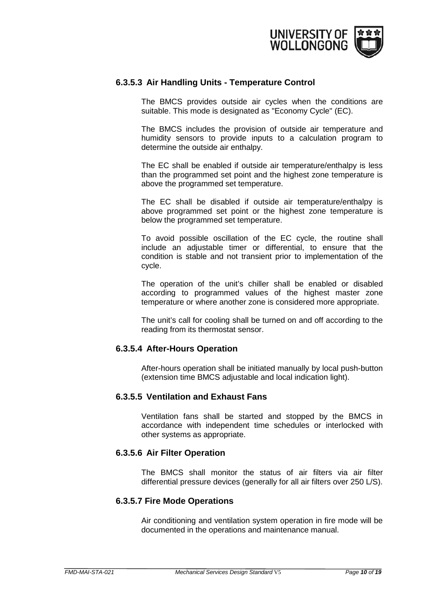

#### <span id="page-9-0"></span>**6.3.5.3 Air Handling Units - Temperature Control**

The BMCS provides outside air cycles when the conditions are suitable. This mode is designated as "Economy Cycle" (EC).

The BMCS includes the provision of outside air temperature and humidity sensors to provide inputs to a calculation program to determine the outside air enthalpy.

The EC shall be enabled if outside air temperature/enthalpy is less than the programmed set point and the highest zone temperature is above the programmed set temperature.

The EC shall be disabled if outside air temperature/enthalpy is above programmed set point or the highest zone temperature is below the programmed set temperature.

To avoid possible oscillation of the EC cycle, the routine shall include an adjustable timer or differential, to ensure that the condition is stable and not transient prior to implementation of the cycle.

The operation of the unit's chiller shall be enabled or disabled according to programmed values of the highest master zone temperature or where another zone is considered more appropriate.

The unit's call for cooling shall be turned on and off according to the reading from its thermostat sensor.

#### <span id="page-9-1"></span>**6.3.5.4 After-Hours Operation**

After-hours operation shall be initiated manually by local push-button (extension time BMCS adjustable and local indication light).

#### <span id="page-9-2"></span>**6.3.5.5 Ventilation and Exhaust Fans**

Ventilation fans shall be started and stopped by the BMCS in accordance with independent time schedules or interlocked with other systems as appropriate.

#### <span id="page-9-3"></span>**6.3.5.6 Air Filter Operation**

The BMCS shall monitor the status of air filters via air filter differential pressure devices (generally for all air filters over 250 L/S).

#### <span id="page-9-4"></span>**6.3.5.7 Fire Mode Operations**

Air conditioning and ventilation system operation in fire mode will be documented in the operations and maintenance manual.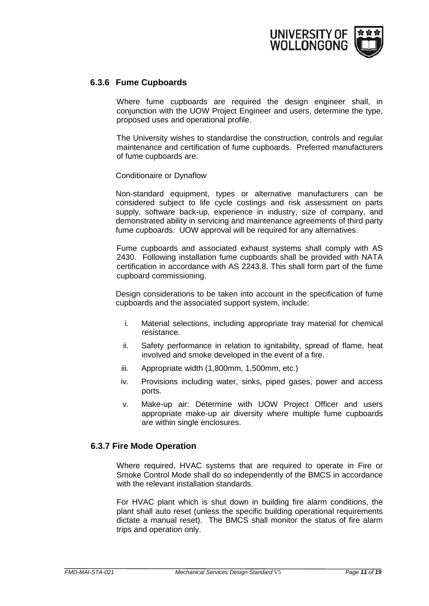

#### <span id="page-10-0"></span>**6.3.6 Fume Cupboards**

Where fume cupboards are required the design engineer shall, in conjunction with the UOW Project Engineer and users, determine the type, proposed uses and operational profile.

The University wishes to standardise the construction, controls and regular maintenance and certification of fume cupboards. Preferred manufacturers of fume cupboards are:

Conditionaire or Dynaflow

Non-standard equipment, types or alternative manufacturers can be considered subject to life cycle costings and risk assessment on parts supply, software back-up, experience in industry, size of company, and demonstrated ability in servicing and maintenance agreements of third party fume cupboards. UOW approval will be required for any alternatives.

Fume cupboards and associated exhaust systems shall comply with AS 2430. Following installation fume cupboards shall be provided with NATA certification in accordance with AS 2243.8. This shall form part of the fume cupboard commissioning.

Design considerations to be taken into account in the specification of fume cupboards and the associated support system, include:

- i. Material selections, including appropriate tray material for chemical resistance.
- ii. Safety performance in relation to ignitability, spread of flame, heat involved and smoke developed in the event of a fire.
- iii. Appropriate width (1,800mm, 1,500mm, etc.)
- iv. Provisions including water, sinks, piped gases, power and access ports.
- v. Make-up air: Determine with UOW Project Officer and users appropriate make-up air diversity where multiple fume cupboards are within single enclosures.

#### **6.3.7 Fire Mode Operation**

Where required, HVAC systems that are required to operate in Fire or Smoke Control Mode shall do so independently of the BMCS in accordance with the relevant installation standards.

For HVAC plant which is shut down in building fire alarm conditions, the plant shall auto reset (unless the specific building operational requirements dictate a manual reset). The BMCS shall monitor the status of fire alarm trips and operation only.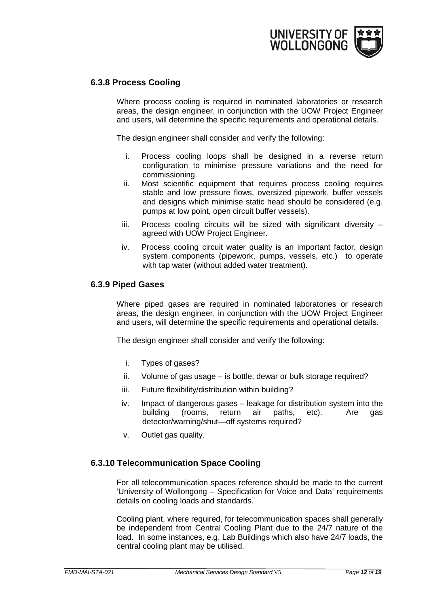

#### **6.3.8 Process Cooling**

Where process cooling is required in nominated laboratories or research areas, the design engineer, in conjunction with the UOW Project Engineer and users, will determine the specific requirements and operational details.

The design engineer shall consider and verify the following:

- i. Process cooling loops shall be designed in a reverse return configuration to minimise pressure variations and the need for commissioning.
- ii. Most scientific equipment that requires process cooling requires stable and low pressure flows, oversized pipework, buffer vessels and designs which minimise static head should be considered (e.g. pumps at low point, open circuit buffer vessels).
- $iii.$  Process cooling circuits will be sized with significant diversity  $$ agreed with UOW Project Engineer.
- iv. Process cooling circuit water quality is an important factor, design system components (pipework, pumps, vessels, etc.) to operate with tap water (without added water treatment).

#### **6.3.9 Piped Gases**

Where piped gases are required in nominated laboratories or research areas, the design engineer, in conjunction with the UOW Project Engineer and users, will determine the specific requirements and operational details.

The design engineer shall consider and verify the following:

- i. Types of gases?
- ii. Volume of gas usage is bottle, dewar or bulk storage required?
- iii. Future flexibility/distribution within building?
- iv. Impact of dangerous gases leakage for distribution system into the building (rooms, return air paths, etc). Are gas detector/warning/shut—off systems required?
- v. Outlet gas quality.

#### **6.3.10 Telecommunication Space Cooling**

For all telecommunication spaces reference should be made to the current 'University of Wollongong – Specification for Voice and Data' requirements details on cooling loads and standards.

Cooling plant, where required, for telecommunication spaces shall generally be independent from Central Cooling Plant due to the 24/7 nature of the load. In some instances, e.g. Lab Buildings which also have 24/7 loads, the central cooling plant may be utilised.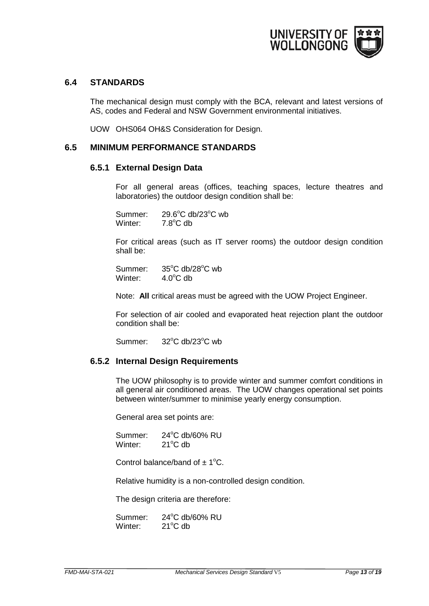

#### <span id="page-12-0"></span>**6.4 STANDARDS**

The mechanical design must comply with the BCA, relevant and latest versions of AS, codes and Federal and NSW Government environmental initiatives.

UOW OHS064 OH&S Consideration for Design.

#### <span id="page-12-1"></span>**6.5 MINIMUM PERFORMANCE STANDARDS**

#### **6.5.1 External Design Data**

For all general areas (offices, teaching spaces, lecture theatres and laboratories) the outdoor design condition shall be:

Summer:  $C$  db/23 $^{\circ}$ C wb Winter:  $7.8^{\circ}$ C db

For critical areas (such as IT server rooms) the outdoor design condition shall be:

Summer:  $C$  db/28 $^{\circ}$ C wb Winter:  $4.0^{\circ}$ C db

Note: **All** critical areas must be agreed with the UOW Project Engineer.

For selection of air cooled and evaporated heat rejection plant the outdoor condition shall be:

Summer:  $C$  db/23 $^{\circ}$ C wb

#### **6.5.2 Internal Design Requirements**

The UOW philosophy is to provide winter and summer comfort conditions in all general air conditioned areas. The UOW changes operational set points between winter/summer to minimise yearly energy consumption.

General area set points are:

Summer: 24°C db/60% RU Winter:  $21^{\circ}$ C db

Control balance/band of  $\pm$  1<sup>o</sup>C.

Relative humidity is a non-controlled design condition.

The design criteria are therefore:

Summer: 24°C db/60% RU Winter:  $21^{\circ}$ C db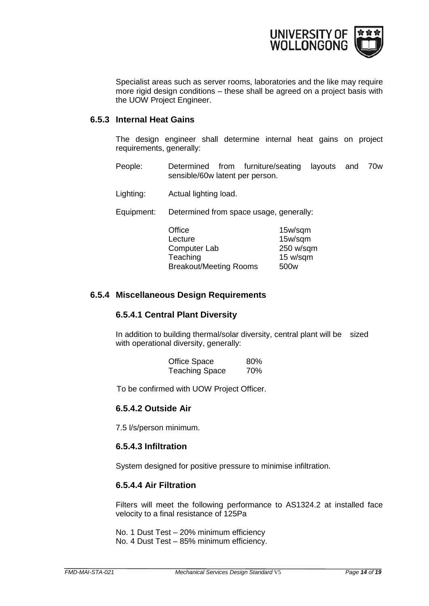

Specialist areas such as server rooms, laboratories and the like may require more rigid design conditions – these shall be agreed on a project basis with the UOW Project Engineer.

#### **6.5.3 Internal Heat Gains**

The design engineer shall determine internal heat gains on project requirements, generally:

- People: Determined from furniture/seating layouts and 70w sensible/60w latent per person.
- Lighting: Actual lighting load.
- Equipment: Determined from space usage, generally:

| Office                        | 15w/sqm          |
|-------------------------------|------------------|
| Lecture                       | 15w/sqm          |
| Computer Lab                  | 250 w/sqm        |
| Teaching                      | 15 w/sqm         |
| <b>Breakout/Meeting Rooms</b> | 500 <sub>w</sub> |

#### **6.5.4 Miscellaneous Design Requirements**

#### **6.5.4.1 Central Plant Diversity**

In addition to building thermal/solar diversity, central plant will be sized with operational diversity, generally:

| <b>Office Space</b>   | 80% |
|-----------------------|-----|
| <b>Teaching Space</b> | 70% |

To be confirmed with UOW Project Officer.

#### **6.5.4.2 Outside Air**

7.5 l/s/person minimum.

#### **6.5.4.3 Infiltration**

System designed for positive pressure to minimise infiltration.

#### **6.5.4.4 Air Filtration**

Filters will meet the following performance to AS1324.2 at installed face velocity to a final resistance of 125Pa

No. 1 Dust Test – 20% minimum efficiency No. 4 Dust Test – 85% minimum efficiency.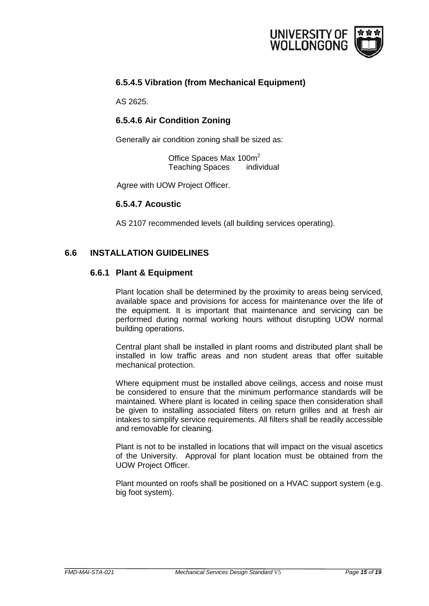

# **6.5.4.5 Vibration (from Mechanical Equipment)**

AS 2625.

# **6.5.4.6 Air Condition Zoning**

Generally air condition zoning shall be sized as:

Office Spaces Max 100m<sup>2</sup> Teaching Spaces individual

Agree with UOW Project Officer.

#### **6.5.4.7 Acoustic**

AS 2107 recommended levels (all building services operating).

# <span id="page-14-1"></span><span id="page-14-0"></span>**6.6 INSTALLATION GUIDELINES**

#### **6.6.1 Plant & Equipment**

Plant location shall be determined by the proximity to areas being serviced, available space and provisions for access for maintenance over the life of the equipment. It is important that maintenance and servicing can be performed during normal working hours without disrupting UOW normal building operations.

Central plant shall be installed in plant rooms and distributed plant shall be installed in low traffic areas and non student areas that offer suitable mechanical protection.

Where equipment must be installed above ceilings, access and noise must be considered to ensure that the minimum performance standards will be maintained. Where plant is located in ceiling space then consideration shall be given to installing associated filters on return grilles and at fresh air intakes to simplify service requirements. All filters shall be readily accessible and removable for cleaning.

Plant is not to be installed in locations that will impact on the visual ascetics of the University. Approval for plant location must be obtained from the UOW Project Officer.

Plant mounted on roofs shall be positioned on a HVAC support system (e.g. big foot system).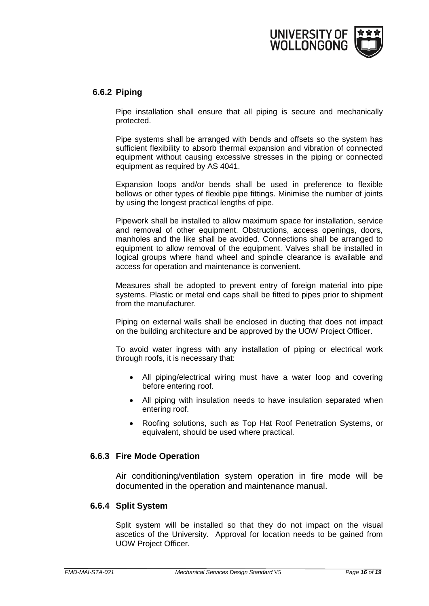

#### <span id="page-15-0"></span>**6.6.2 Piping**

Pipe installation shall ensure that all piping is secure and mechanically protected.

Pipe systems shall be arranged with bends and offsets so the system has sufficient flexibility to absorb thermal expansion and vibration of connected equipment without causing excessive stresses in the piping or connected equipment as required by AS 4041.

Expansion loops and/or bends shall be used in preference to flexible bellows or other types of flexible pipe fittings. Minimise the number of joints by using the longest practical lengths of pipe.

Pipework shall be installed to allow maximum space for installation, service and removal of other equipment. Obstructions, access openings, doors, manholes and the like shall be avoided. Connections shall be arranged to equipment to allow removal of the equipment. Valves shall be installed in logical groups where hand wheel and spindle clearance is available and access for operation and maintenance is convenient.

Measures shall be adopted to prevent entry of foreign material into pipe systems. Plastic or metal end caps shall be fitted to pipes prior to shipment from the manufacturer.

Piping on external walls shall be enclosed in ducting that does not impact on the building architecture and be approved by the UOW Project Officer.

To avoid water ingress with any installation of piping or electrical work through roofs, it is necessary that:

- All piping/electrical wiring must have a water loop and covering before entering roof.
- All piping with insulation needs to have insulation separated when entering roof.
- Roofing solutions, such as Top Hat Roof Penetration Systems, or equivalent, should be used where practical.

#### <span id="page-15-1"></span>**6.6.3 Fire Mode Operation**

Air conditioning/ventilation system operation in fire mode will be documented in the operation and maintenance manual.

#### <span id="page-15-2"></span>**6.6.4 Split System**

Split system will be installed so that they do not impact on the visual ascetics of the University. Approval for location needs to be gained from UOW Project Officer.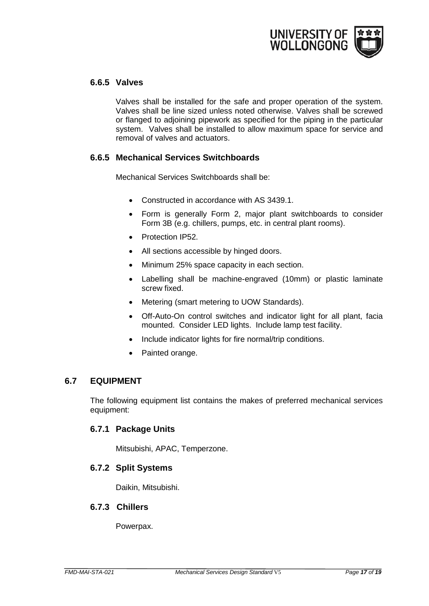

#### <span id="page-16-0"></span>**6.6.5 Valves**

Valves shall be installed for the safe and proper operation of the system. Valves shall be line sized unless noted otherwise. Valves shall be screwed or flanged to adjoining pipework as specified for the piping in the particular system. Valves shall be installed to allow maximum space for service and removal of valves and actuators.

# **6.6.5 Mechanical Services Switchboards**

Mechanical Services Switchboards shall be:

- Constructed in accordance with AS 3439.1.
- Form is generally Form 2, major plant switchboards to consider Form 3B (e.g. chillers, pumps, etc. in central plant rooms).
- Protection IP52.
- All sections accessible by hinged doors.
- Minimum 25% space capacity in each section.
- Labelling shall be machine-engraved (10mm) or plastic laminate screw fixed.
- Metering (smart metering to UOW Standards).
- Off-Auto-On control switches and indicator light for all plant, facia mounted. Consider LED lights. Include lamp test facility.
- Include indicator lights for fire normal/trip conditions.
- Painted orange.

#### <span id="page-16-1"></span>**6.7 EQUIPMENT**

The following equipment list contains the makes of preferred mechanical services equipment:

#### <span id="page-16-2"></span>**6.7.1 Package Units**

Mitsubishi, APAC, Temperzone.

#### <span id="page-16-3"></span>**6.7.2 Split Systems**

Daikin, Mitsubishi.

#### <span id="page-16-4"></span>**6.7.3 Chillers**

Powerpax.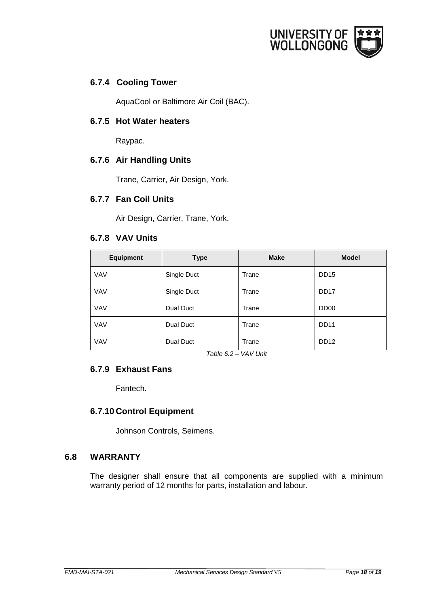

# <span id="page-17-0"></span>**6.7.4 Cooling Tower**

AquaCool or Baltimore Air Coil (BAC).

## <span id="page-17-1"></span>**6.7.5 Hot Water heaters**

Raypac.

#### <span id="page-17-2"></span>**6.7.6 Air Handling Units**

Trane, Carrier, Air Design, York.

#### <span id="page-17-3"></span>**6.7.7 Fan Coil Units**

Air Design, Carrier, Trane, York.

#### <span id="page-17-4"></span>**6.7.8 VAV Units**

| <b>Equipment</b> | <b>Make</b><br><b>Type</b> |       | <b>Model</b>     |  |
|------------------|----------------------------|-------|------------------|--|
| <b>VAV</b>       | Single Duct                | Trane | <b>DD15</b>      |  |
| <b>VAV</b>       | Single Duct                | Trane | DD <sub>17</sub> |  |
| <b>VAV</b>       | Dual Duct                  | Trane | DD <sub>00</sub> |  |
| <b>VAV</b>       | Dual Duct                  | Trane | <b>DD11</b>      |  |
| <b>VAV</b>       | Dual Duct                  | Trane | DD <sub>12</sub> |  |

*Table 6.2 – VAV Unit*

# <span id="page-17-5"></span>**6.7.9 Exhaust Fans**

Fantech.

# <span id="page-17-6"></span>**6.7.10 Control Equipment**

Johnson Controls, Seimens.

# <span id="page-17-7"></span>**6.8 WARRANTY**

The designer shall ensure that all components are supplied with a minimum warranty period of 12 months for parts, installation and labour.